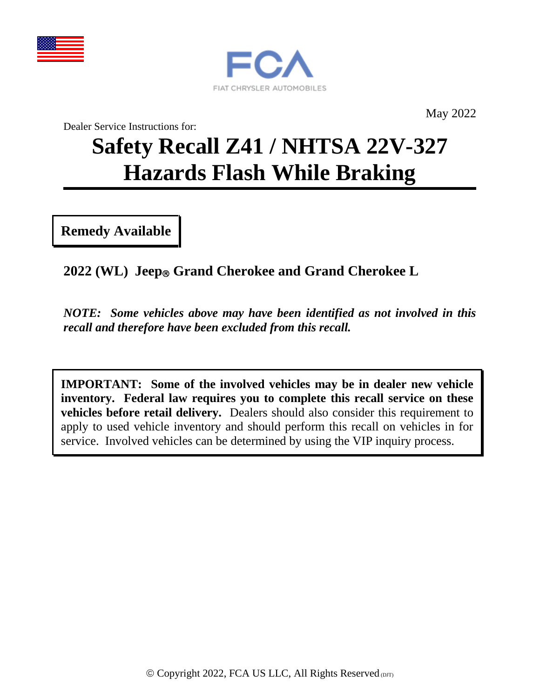



May 2022

Dealer Service Instructions for:

# **Safety Recall Z41 / NHTSA 22V-327 Hazards Flash While Braking**

**Remedy Available**

**2022 (WL) Jeep Grand Cherokee and Grand Cherokee L**

*NOTE: Some vehicles above may have been identified as not involved in this recall and therefore have been excluded from this recall.*

**IMPORTANT: Some of the involved vehicles may be in dealer new vehicle inventory. Federal law requires you to complete this recall service on these vehicles before retail delivery.** Dealers should also consider this requirement to apply to used vehicle inventory and should perform this recall on vehicles in for service. Involved vehicles can be determined by using the VIP inquiry process.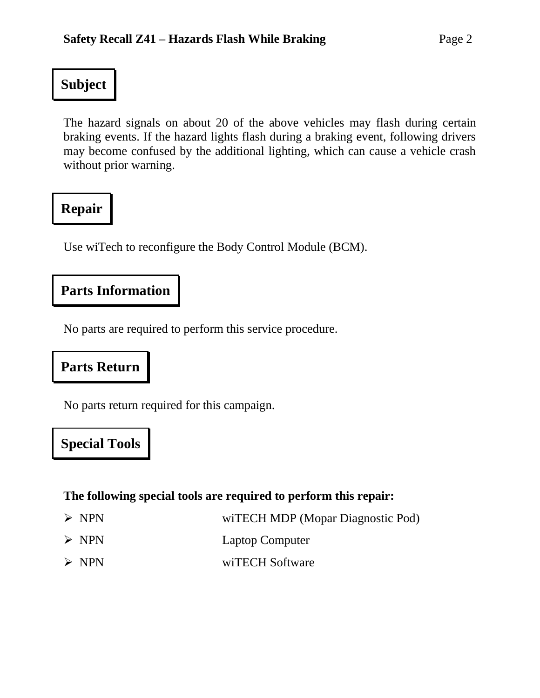## **Subject**

The hazard signals on about 20 of the above vehicles may flash during certain braking events. If the hazard lights flash during a braking event, following drivers may become confused by the additional lighting, which can cause a vehicle crash without prior warning.

## **Repair**

Use wiTech to reconfigure the Body Control Module (BCM).

### **Parts Information**

No parts are required to perform this service procedure.

## **Parts Return**

No parts return required for this campaign.

## **Special Tools**

#### **The following special tools are required to perform this repair:**

| $>$ NPN | wiTECH MDP (Mopar Diagnostic Pod) |  |
|---------|-----------------------------------|--|
| $>$ NPN | <b>Laptop Computer</b>            |  |
| $>$ NPN | wiTECH Software                   |  |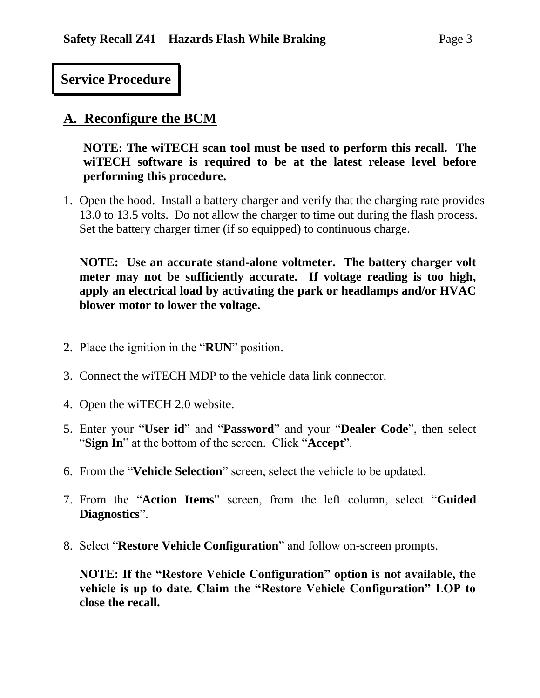#### **Service Procedure**

#### **A. Reconfigure the BCM**

**NOTE: The wiTECH scan tool must be used to perform this recall. The wiTECH software is required to be at the latest release level before performing this procedure.** 

1. Open the hood. Install a battery charger and verify that the charging rate provides 13.0 to 13.5 volts. Do not allow the charger to time out during the flash process. Set the battery charger timer (if so equipped) to continuous charge.

**NOTE: Use an accurate stand-alone voltmeter. The battery charger volt meter may not be sufficiently accurate. If voltage reading is too high, apply an electrical load by activating the park or headlamps and/or HVAC blower motor to lower the voltage.**

- 2. Place the ignition in the "**RUN**" position.
- 3. Connect the wiTECH MDP to the vehicle data link connector.
- 4. Open the wiTECH 2.0 website.
- 5. Enter your "**User id**" and "**Password**" and your "**Dealer Code**", then select "**Sign In**" at the bottom of the screen. Click "**Accept**".
- 6. From the "**Vehicle Selection**" screen, select the vehicle to be updated.
- 7. From the "**Action Items**" screen, from the left column, select "**Guided Diagnostics**".
- 8. Select "**Restore Vehicle Configuration**" and follow on-screen prompts.

**NOTE: If the "Restore Vehicle Configuration" option is not available, the vehicle is up to date. Claim the "Restore Vehicle Configuration" LOP to close the recall.**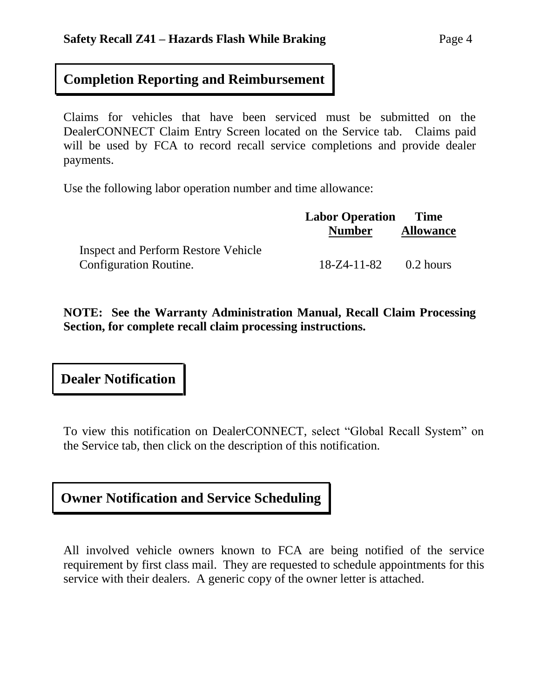#### **Completion Reporting and Reimbursement**

Claims for vehicles that have been serviced must be submitted on the DealerCONNECT Claim Entry Screen located on the Service tab. Claims paid will be used by FCA to record recall service completions and provide dealer payments.

Use the following labor operation number and time allowance:

|                                            | <b>Labor Operation</b> Time   |                  |
|--------------------------------------------|-------------------------------|------------------|
|                                            | <b>Number</b>                 | <b>Allowance</b> |
| <b>Inspect and Perform Restore Vehicle</b> |                               |                  |
| <b>Configuration Routine.</b>              | $18 - Z4 - 11 - 82$ 0.2 hours |                  |

**NOTE: See the Warranty Administration Manual, Recall Claim Processing Section, for complete recall claim processing instructions.**

**Dealer Notification**

To view this notification on DealerCONNECT, select "Global Recall System" on the Service tab, then click on the description of this notification.

## **Owner Notification and Service Scheduling**

All involved vehicle owners known to FCA are being notified of the service requirement by first class mail. They are requested to schedule appointments for this service with their dealers. A generic copy of the owner letter is attached.